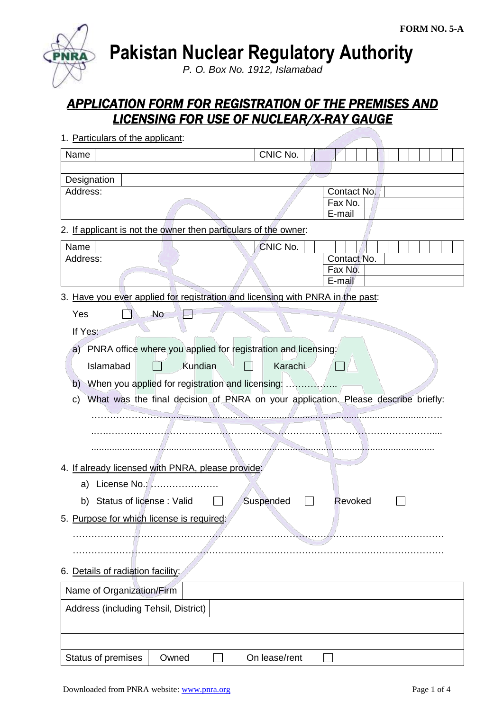**Pakistan Nuclear Regulatory Authority**

*P. O. Box No. 1912, Islamabad*

# *APPLICATION FORM FOR REGISTRATION OF THE PREMISES AND LICENSING FOR USE OF NUCLEAR/X-RAY GAUGE*

| 1. Particulars of the applicant:                                                        |               |                   |
|-----------------------------------------------------------------------------------------|---------------|-------------------|
| Name                                                                                    | CNIC No.      |                   |
|                                                                                         |               |                   |
| Designation                                                                             |               |                   |
| Address:                                                                                |               | Contact No.       |
|                                                                                         |               | Fax No.<br>E-mail |
| 2. If applicant is not the owner then particulars of the owner:                         |               |                   |
| Name                                                                                    | CNIC No.      |                   |
| Address:                                                                                |               | Contact No.       |
|                                                                                         |               | Fax No.           |
|                                                                                         |               | E-mail            |
| 3. Have you ever applied for registration and licensing with PNRA in the past:          |               |                   |
| Yes<br><b>No</b>                                                                        |               |                   |
| If Yes:                                                                                 |               |                   |
| a) PNRA office where you applied for registration and licensing:                        |               |                   |
| Kundian<br>Islamabad                                                                    | Karachi       |                   |
|                                                                                         |               |                   |
| $\mathsf{b}$                                                                            |               |                   |
| What was the final decision of PNRA on your application. Please describe briefly:<br>C) |               |                   |
|                                                                                         |               |                   |
|                                                                                         |               |                   |
|                                                                                         |               |                   |
|                                                                                         |               |                   |
| 4. If already licensed with PNRA, please provide:                                       |               |                   |
| License No.:<br>a)                                                                      |               |                   |
| b) Status of license: Valid                                                             | Suspended     | Revoked           |
| 5. Purpose for which license is required:                                               |               |                   |
|                                                                                         |               |                   |
|                                                                                         |               |                   |
| 6. Details of radiation facility:                                                       |               |                   |
| Name of Organization/Firm                                                               |               |                   |
| Address (including Tehsil, District)                                                    |               |                   |
|                                                                                         |               |                   |
|                                                                                         |               |                   |
| Status of premises<br>Owned                                                             | On lease/rent |                   |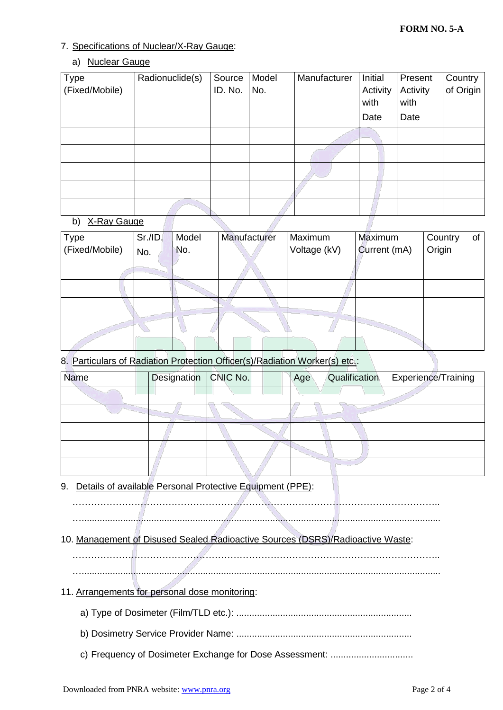1

### 7. Specifications of Nuclear/X-Ray Gauge:

### a) Nuclear Gauge

| <b>Type</b>    | Radionuclide(s) | Source  | Model | Manufacturer | Initial  | Present  | Country   |
|----------------|-----------------|---------|-------|--------------|----------|----------|-----------|
| (Fixed/Mobile) |                 | ID. No. | No.   |              | Activity | Activity | of Origin |
|                |                 |         |       |              | with     | with     |           |
|                |                 |         |       |              | Date     | Date     |           |
|                |                 |         |       |              |          |          |           |
|                |                 |         |       |              |          |          |           |
|                |                 |         |       |              |          |          |           |
|                |                 |         |       |              |          |          |           |
|                |                 |         |       |              |          |          |           |

#### b) X-Ray Gauge

| <b>Type</b>    | Sr.I.D. | Model | Manufacturer | Maximum      | Maximum      | Country | of |
|----------------|---------|-------|--------------|--------------|--------------|---------|----|
| (Fixed/Mobile) | No.     | No.   |              | Voltage (kV) | Current (mA) | Origin  |    |
|                |         |       |              |              |              |         |    |
|                |         |       |              |              |              |         |    |
|                |         |       |              |              |              |         |    |
|                |         |       |              |              |              |         |    |
|                |         |       |              |              |              |         |    |

### 8. Particulars of Radiation Protection Officer(s)/Radiation Worker(s) etc.:

| <b>Name</b> | Designation   CNIC No. | Age | Qualification | Experience/Training |
|-------------|------------------------|-----|---------------|---------------------|
|             |                        |     |               |                     |
|             |                        |     |               |                     |
|             |                        |     |               |                     |
|             |                        |     |               |                     |
|             |                        |     |               |                     |

## 9. Details of available Personal Protective Equipment (PPE):

………………………………………………………………………………………………………..

…...........................................................................................................................................

## 10. Management of Disused Sealed Radioactive Sources (DSRS)/Radioactive Waste:

. The same independent of the same independent of the same independent of the same independent of the same independent of the same independent of the same independent of the same independent of the same independent of the

…...........................................................................................................................................

## 11. Arrangements for personal dose monitoring:

- a) Type of Dosimeter (Film/TLD etc.): ....................................................................
- b) Dosimetry Service Provider Name: ....................................................................
- c) Frequency of Dosimeter Exchange for Dose Assessment: ................................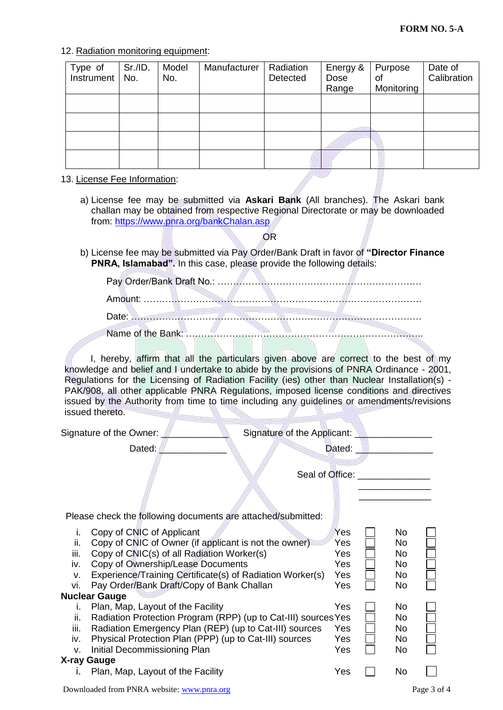12. Radiation monitoring equipment:

| Type of<br>Instrument | Sr./ID.<br>No. | Model<br>No. | Manufacturer | Radiation<br>Detected | Energy &<br>Dose<br>Range | Purpose<br>οf<br>Monitoring | Date of<br>Calibration |
|-----------------------|----------------|--------------|--------------|-----------------------|---------------------------|-----------------------------|------------------------|
|                       |                |              |              |                       |                           |                             |                        |
|                       |                |              |              |                       |                           |                             |                        |
|                       |                |              |              |                       |                           |                             |                        |
|                       |                |              |              |                       |                           |                             |                        |

13. License Fee Information:

a) License fee may be submitted via **Askari Bank** (All branches). The Askari bank challan may be obtained from respective Regional Directorate or may be downloaded from:<https://www.pnra.org/bankChalan.asp>

OR

b) License fee may be submitted via Pay Order/Bank Draft in favor of **"Director Finance PNRA, Islamabad".** In this case, please provide the following details:

I, hereby, affirm that all the particulars given above are correct to the best of my knowledge and belief and I undertake to abide by the provisions of PNRA Ordinance - 2001, Regulations for the Licensing of Radiation Facility (ies) other than Nuclear Installation(s) - PAK/908, all other applicable PNRA Regulations, imposed license conditions and directives issued by the Authority from time to time including any guidelines or amendments/revisions issued thereto.

| Signature of the Owner:                                                                                                                                                                                                                                                                                                                          | Signature of the Applicant: _   |                                                      |                                    |             |
|--------------------------------------------------------------------------------------------------------------------------------------------------------------------------------------------------------------------------------------------------------------------------------------------------------------------------------------------------|---------------------------------|------------------------------------------------------|------------------------------------|-------------|
| Dated:                                                                                                                                                                                                                                                                                                                                           |                                 | Dated:                                               |                                    |             |
|                                                                                                                                                                                                                                                                                                                                                  | Seal of Office: _______________ |                                                      |                                    |             |
|                                                                                                                                                                                                                                                                                                                                                  |                                 |                                                      |                                    |             |
| Please check the following documents are attached/submitted:                                                                                                                                                                                                                                                                                     |                                 |                                                      |                                    |             |
| Copy of CNIC of Applicant<br>i.<br>Copy of CNIC of Owner (if applicant is not the owner)<br>ii.<br>Copy of CNIC(s) of all Radiation Worker(s)<br>iii.<br>Copy of Ownership/Lease Documents<br>iv.<br>Experience/Training Certificate(s) of Radiation Worker(s)<br>V.<br>Pay Order/Bank Draft/Copy of Bank Challan<br>vi.<br><b>Nuclear Gauge</b> |                                 | <b>Yes</b><br>Yes<br>Yes<br>Yes<br><b>Yes</b><br>Yes | No.<br>No<br>No<br>No<br>No<br>No. |             |
| Plan, Map, Layout of the Facility<br>i.<br>Radiation Protection Program (RPP) (up to Cat-III) sources Yes<br>ii.<br>Radiation Emergency Plan (REP) (up to Cat-III) sources<br>iii.<br>Physical Protection Plan (PPP) (up to Cat-III) sources<br>iv.<br>Initial Decommissioning Plan<br>v.                                                        |                                 | Yes<br>Yes<br>Yes<br>Yes                             | No<br>No<br>No<br>No<br>No         |             |
| X-ray Gauge                                                                                                                                                                                                                                                                                                                                      |                                 |                                                      |                                    |             |
| Plan, Map, Layout of the Facility<br>L.<br>Downloaded from PNRA website: www.pnra.org                                                                                                                                                                                                                                                            |                                 | Yes                                                  | No                                 | Page 3 of 4 |